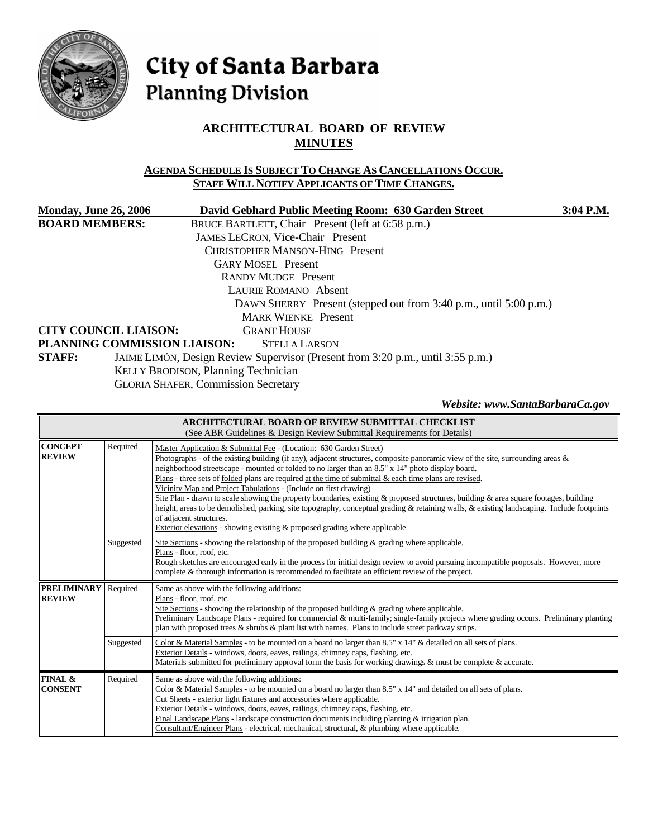

# City of Santa Barbara **Planning Division**

# **ARCHITECTURAL BOARD OF REVIEW MINUTES**

## **AGENDA SCHEDULE IS SUBJECT TO CHANGE AS CANCELLATIONS OCCUR. STAFF WILL NOTIFY APPLICANTS OF TIME CHANGES.**

| <b>Monday, June 26, 2006</b> | David Gebhard Public Meeting Room: 630 Garden Street                            | 3:04 P.M. |  |  |  |  |
|------------------------------|---------------------------------------------------------------------------------|-----------|--|--|--|--|
| <b>BOARD MEMBERS:</b>        | BRUCE BARTLETT, Chair Present (left at 6:58 p.m.)                               |           |  |  |  |  |
|                              | <b>JAMES LECRON, Vice-Chair Present</b>                                         |           |  |  |  |  |
|                              | <b>CHRISTOPHER MANSON-HING Present</b>                                          |           |  |  |  |  |
|                              | <b>GARY MOSEL</b> Present                                                       |           |  |  |  |  |
|                              | <b>RANDY MUDGE Present</b>                                                      |           |  |  |  |  |
|                              | LAURIE ROMANO Absent                                                            |           |  |  |  |  |
|                              | DAWN SHERRY Present (stepped out from 3:40 p.m., until 5:00 p.m.)               |           |  |  |  |  |
|                              | <b>MARK WIENKE</b> Present                                                      |           |  |  |  |  |
| <b>CITY COUNCIL LIAISON:</b> | <b>GRANT HOUSE</b>                                                              |           |  |  |  |  |
|                              | PLANNING COMMISSION LIAISON:<br><b>STELLA LARSON</b>                            |           |  |  |  |  |
| <b>STAFF:</b>                | JAIME LIMÓN, Design Review Supervisor (Present from 3:20 p.m., until 3:55 p.m.) |           |  |  |  |  |
|                              | KELLY BRODISON, Planning Technician                                             |           |  |  |  |  |

GLORIA SHAFER, Commission Secretary

*Website: www.SantaBarbaraCa.gov* 

| <b>ARCHITECTURAL BOARD OF REVIEW SUBMITTAL CHECKLIST</b><br>(See ABR Guidelines & Design Review Submittal Requirements for Details) |           |                                                                                                                                                                                                                                                                                                                                                                                                                                                                                                                                                                                                                                                                                                                                                                                                                                                                                                             |  |  |  |  |  |
|-------------------------------------------------------------------------------------------------------------------------------------|-----------|-------------------------------------------------------------------------------------------------------------------------------------------------------------------------------------------------------------------------------------------------------------------------------------------------------------------------------------------------------------------------------------------------------------------------------------------------------------------------------------------------------------------------------------------------------------------------------------------------------------------------------------------------------------------------------------------------------------------------------------------------------------------------------------------------------------------------------------------------------------------------------------------------------------|--|--|--|--|--|
| <b>CONCEPT</b><br><b>REVIEW</b>                                                                                                     | Required  | Master Application & Submittal Fee - (Location: 630 Garden Street)<br>Photographs - of the existing building (if any), adjacent structures, composite panoramic view of the site, surrounding areas $\&$<br>neighborhood streetscape - mounted or folded to no larger than an 8.5" x 14" photo display board.<br>Plans - three sets of <u>folded</u> plans are required at the time of submittal $\&$ each time plans are revised.<br>Vicinity Map and Project Tabulations - (Include on first drawing)<br>Site Plan - drawn to scale showing the property boundaries, existing & proposed structures, building & area square footages, building<br>height, areas to be demolished, parking, site topography, conceptual grading & retaining walls, & existing landscaping. Include footprints<br>of adjacent structures.<br>Exterior elevations - showing existing $\&$ proposed grading where applicable. |  |  |  |  |  |
|                                                                                                                                     | Suggested | Site Sections - showing the relationship of the proposed building & grading where applicable.<br>Plans - floor, roof, etc.<br>Rough sketches are encouraged early in the process for initial design review to avoid pursuing incompatible proposals. However, more<br>complete & thorough information is recommended to facilitate an efficient review of the project.                                                                                                                                                                                                                                                                                                                                                                                                                                                                                                                                      |  |  |  |  |  |
| <b>PRELIMINARY</b><br><b>REVIEW</b>                                                                                                 | Required  | Same as above with the following additions:<br>Plans - floor, roof, etc.<br>Site Sections - showing the relationship of the proposed building & grading where applicable.<br>Preliminary Landscape Plans - required for commercial & multi-family; single-family projects where grading occurs. Preliminary planting<br>plan with proposed trees $\&$ shrubs $\&$ plant list with names. Plans to include street parkway strips.                                                                                                                                                                                                                                                                                                                                                                                                                                                                            |  |  |  |  |  |
|                                                                                                                                     | Suggested | Color & Material Samples - to be mounted on a board no larger than 8.5" x 14" & detailed on all sets of plans.<br>Exterior Details - windows, doors, eaves, railings, chimney caps, flashing, etc.<br>Materials submitted for preliminary approval form the basis for working drawings $\&$ must be complete $\&$ accurate.                                                                                                                                                                                                                                                                                                                                                                                                                                                                                                                                                                                 |  |  |  |  |  |
| FINAL &<br><b>CONSENT</b>                                                                                                           | Required  | Same as above with the following additions:<br>Color & Material Samples - to be mounted on a board no larger than 8.5" x 14" and detailed on all sets of plans.<br>Cut Sheets - exterior light fixtures and accessories where applicable.<br>Exterior Details - windows, doors, eaves, railings, chimney caps, flashing, etc.<br>Final Landscape Plans - landscape construction documents including planting $\&$ irrigation plan.<br>Consultant/Engineer Plans - electrical, mechanical, structural, & plumbing where applicable.                                                                                                                                                                                                                                                                                                                                                                          |  |  |  |  |  |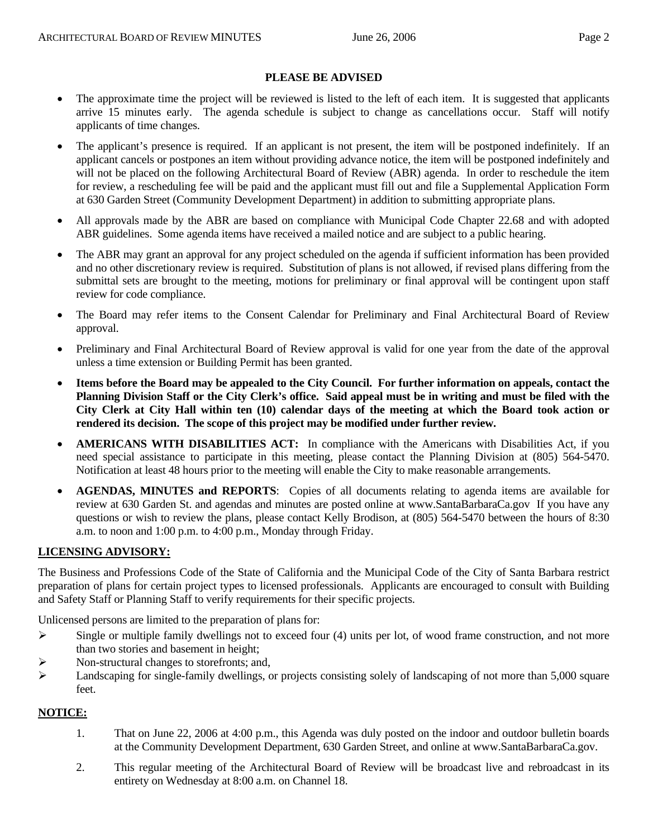#### **PLEASE BE ADVISED**

- The approximate time the project will be reviewed is listed to the left of each item. It is suggested that applicants arrive 15 minutes early. The agenda schedule is subject to change as cancellations occur. Staff will notify applicants of time changes.
- The applicant's presence is required. If an applicant is not present, the item will be postponed indefinitely. If an applicant cancels or postpones an item without providing advance notice, the item will be postponed indefinitely and will not be placed on the following Architectural Board of Review (ABR) agenda. In order to reschedule the item for review, a rescheduling fee will be paid and the applicant must fill out and file a Supplemental Application Form at 630 Garden Street (Community Development Department) in addition to submitting appropriate plans.
- All approvals made by the ABR are based on compliance with Municipal Code Chapter 22.68 and with adopted ABR guidelines. Some agenda items have received a mailed notice and are subject to a public hearing.
- The ABR may grant an approval for any project scheduled on the agenda if sufficient information has been provided and no other discretionary review is required. Substitution of plans is not allowed, if revised plans differing from the submittal sets are brought to the meeting, motions for preliminary or final approval will be contingent upon staff review for code compliance.
- The Board may refer items to the Consent Calendar for Preliminary and Final Architectural Board of Review approval.
- Preliminary and Final Architectural Board of Review approval is valid for one year from the date of the approval unless a time extension or Building Permit has been granted.
- **Items before the Board may be appealed to the City Council. For further information on appeals, contact the Planning Division Staff or the City Clerk's office. Said appeal must be in writing and must be filed with the City Clerk at City Hall within ten (10) calendar days of the meeting at which the Board took action or rendered its decision. The scope of this project may be modified under further review.**
- **AMERICANS WITH DISABILITIES ACT:** In compliance with the Americans with Disabilities Act, if you need special assistance to participate in this meeting, please contact the Planning Division at (805) 564-5470. Notification at least 48 hours prior to the meeting will enable the City to make reasonable arrangements.
- **AGENDAS, MINUTES and REPORTS**: Copies of all documents relating to agenda items are available for review at 630 Garden St. and agendas and minutes are posted online at [www.SantaBarbaraCa.gov](http://www.santabarbaraca.gov/) If you have any questions or wish to review the plans, please contact Kelly Brodison, at (805) 564-5470 between the hours of 8:30 a.m. to noon and 1:00 p.m. to 4:00 p.m., Monday through Friday.

## **LICENSING ADVISORY:**

The Business and Professions Code of the State of California and the Municipal Code of the City of Santa Barbara restrict preparation of plans for certain project types to licensed professionals. Applicants are encouraged to consult with Building and Safety Staff or Planning Staff to verify requirements for their specific projects.

Unlicensed persons are limited to the preparation of plans for:

- $\triangleright$  Single or multiple family dwellings not to exceed four (4) units per lot, of wood frame construction, and not more than two stories and basement in height;
- ¾ Non-structural changes to storefronts; and,
- $\blacktriangleright$  Landscaping for single-family dwellings, or projects consisting solely of landscaping of not more than 5,000 square feet.

## **NOTICE:**

- 1. That on June 22, 2006 at 4:00 p.m., this Agenda was duly posted on the indoor and outdoor bulletin boards at the Community Development Department, 630 Garden Street, and online at www.SantaBarbaraCa.gov.
- 2. This regular meeting of the Architectural Board of Review will be broadcast live and rebroadcast in its entirety on Wednesday at 8:00 a.m. on Channel 18.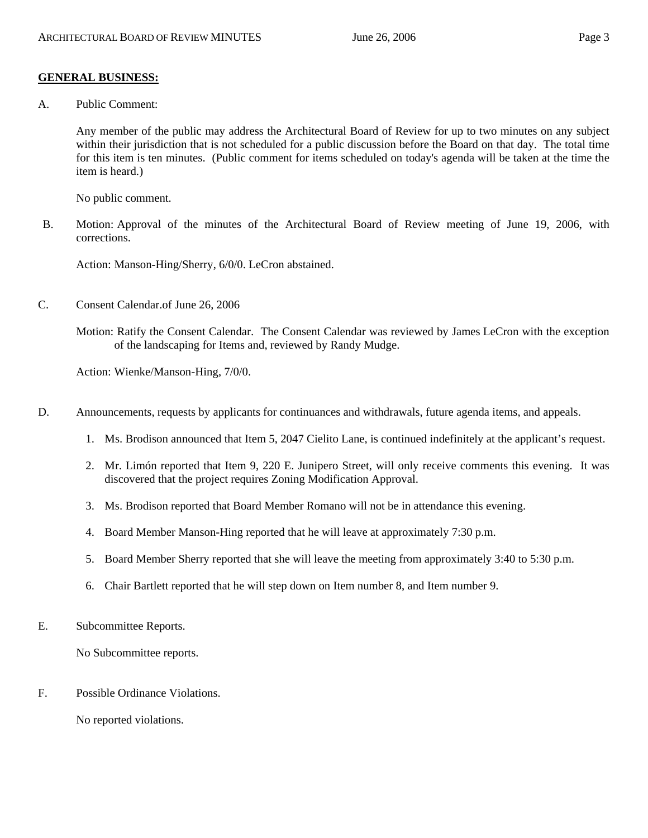#### **GENERAL BUSINESS:**

A. Public Comment:

Any member of the public may address the Architectural Board of Review for up to two minutes on any subject within their jurisdiction that is not scheduled for a public discussion before the Board on that day. The total time for this item is ten minutes. (Public comment for items scheduled on today's agenda will be taken at the time the item is heard.)

No public comment.

B. Motion: Approval of the minutes of the Architectural Board of Review meeting of June 19, 2006, with corrections.

Action: Manson-Hing/Sherry, 6/0/0. LeCron abstained.

C. Consent Calendar.of June 26, 2006

Motion: Ratify the Consent Calendar. The Consent Calendar was reviewed by James LeCron with the exception of the landscaping for Items and, reviewed by Randy Mudge.

Action: Wienke/Manson-Hing, 7/0/0.

- D. Announcements, requests by applicants for continuances and withdrawals, future agenda items, and appeals.
	- 1. Ms. Brodison announced that Item 5, 2047 Cielito Lane, is continued indefinitely at the applicant's request.
	- 2. Mr. Limón reported that Item 9, 220 E. Junipero Street, will only receive comments this evening. It was discovered that the project requires Zoning Modification Approval.
	- 3. Ms. Brodison reported that Board Member Romano will not be in attendance this evening.
	- 4. Board Member Manson-Hing reported that he will leave at approximately 7:30 p.m.
	- 5. Board Member Sherry reported that she will leave the meeting from approximately 3:40 to 5:30 p.m.
	- 6. Chair Bartlett reported that he will step down on Item number 8, and Item number 9.
- E. Subcommittee Reports.

No Subcommittee reports.

F. Possible Ordinance Violations.

No reported violations.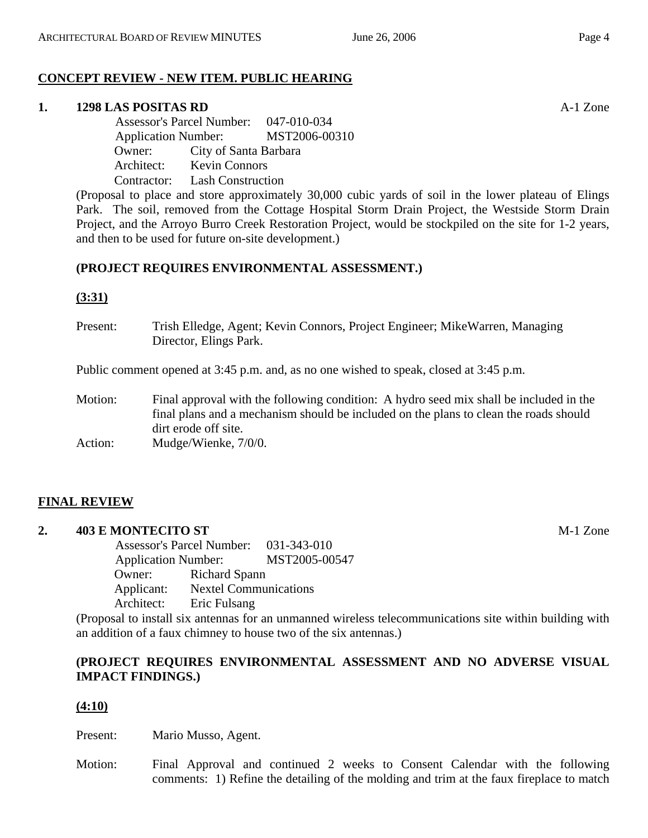# **CONCEPT REVIEW - NEW ITEM. PUBLIC HEARING**

#### **1. 1298 LAS POSITAS RD** A-1 Zone

 Assessor's Parcel Number: 047-010-034 Application Number: MST2006-00310 Owner: City of Santa Barbara Architect: Kevin Connors Contractor: Lash Construction

(Proposal to place and store approximately 30,000 cubic yards of soil in the lower plateau of Elings Park. The soil, removed from the Cottage Hospital Storm Drain Project, the Westside Storm Drain Project, and the Arroyo Burro Creek Restoration Project, would be stockpiled on the site for 1-2 years, and then to be used for future on-site development.)

## **(PROJECT REQUIRES ENVIRONMENTAL ASSESSMENT.)**

## **(3:31)**

Present: Trish Elledge, Agent; Kevin Connors, Project Engineer; MikeWarren, Managing Director, Elings Park.

Public comment opened at 3:45 p.m. and, as no one wished to speak, closed at 3:45 p.m.

Motion: Final approval with the following condition: A hydro seed mix shall be included in the final plans and a mechanism should be included on the plans to clean the roads should dirt erode off site.

Action: Mudge/Wienke,  $7/0/0$ .

## **FINAL REVIEW**

## **2. 403 E MONTECITO ST** M-1 Zone

 Assessor's Parcel Number: 031-343-010 Application Number: MST2005-00547 Owner: Richard Spann Applicant: Nextel Communications Architect: Eric Fulsang

(Proposal to install six antennas for an unmanned wireless telecommunications site within building with an addition of a faux chimney to house two of the six antennas.)

## **(PROJECT REQUIRES ENVIRONMENTAL ASSESSMENT AND NO ADVERSE VISUAL IMPACT FINDINGS.)**

## **(4:10)**

Present: Mario Musso, Agent.

Motion: Final Approval and continued 2 weeks to Consent Calendar with the following comments: 1) Refine the detailing of the molding and trim at the faux fireplace to match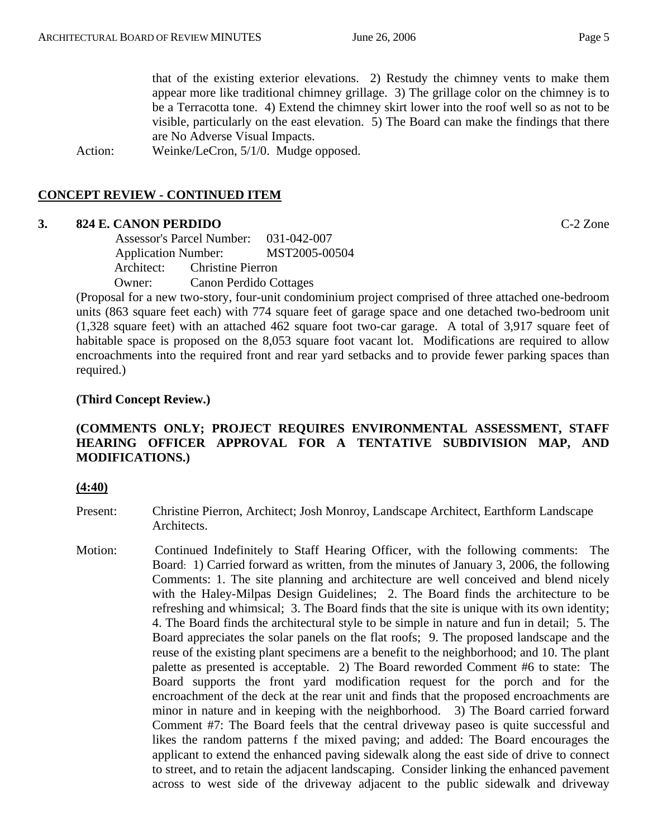that of the existing exterior elevations. 2) Restudy the chimney vents to make them appear more like traditional chimney grillage. 3) The grillage color on the chimney is to be a Terracotta tone. 4) Extend the chimney skirt lower into the roof well so as not to be visible, particularly on the east elevation. 5) The Board can make the findings that there are No Adverse Visual Impacts.

Action: Weinke/LeCron, 5/1/0. Mudge opposed.

## **CONCEPT REVIEW - CONTINUED ITEM**

#### **3. 824 E. CANON PERDIDO** C-2 Zone

 Assessor's Parcel Number: 031-042-007 Application Number: MST2005-00504 Architect: Christine Pierron Owner: Canon Perdido Cottages

(Proposal for a new two-story, four-unit condominium project comprised of three attached one-bedroom units (863 square feet each) with 774 square feet of garage space and one detached two-bedroom unit (1,328 square feet) with an attached 462 square foot two-car garage. A total of 3,917 square feet of habitable space is proposed on the 8,053 square foot vacant lot. Modifications are required to allow encroachments into the required front and rear yard setbacks and to provide fewer parking spaces than required.)

## **(Third Concept Review.)**

## **(COMMENTS ONLY; PROJECT REQUIRES ENVIRONMENTAL ASSESSMENT, STAFF HEARING OFFICER APPROVAL FOR A TENTATIVE SUBDIVISION MAP, AND MODIFICATIONS.)**

#### **(4:40)**

- Present: Christine Pierron, Architect; Josh Monroy, Landscape Architect, Earthform Landscape Architects.
- Motion: Continued Indefinitely to Staff Hearing Officer, with the following comments: The Board: 1) Carried forward as written, from the minutes of January 3, 2006, the following Comments: 1. The site planning and architecture are well conceived and blend nicely with the Haley-Milpas Design Guidelines; 2. The Board finds the architecture to be refreshing and whimsical; 3. The Board finds that the site is unique with its own identity; 4. The Board finds the architectural style to be simple in nature and fun in detail; 5. The Board appreciates the solar panels on the flat roofs; 9. The proposed landscape and the reuse of the existing plant specimens are a benefit to the neighborhood; and 10. The plant palette as presented is acceptable. 2) The Board reworded Comment #6 to state: The Board supports the front yard modification request for the porch and for the encroachment of the deck at the rear unit and finds that the proposed encroachments are minor in nature and in keeping with the neighborhood. 3) The Board carried forward Comment #7: The Board feels that the central driveway paseo is quite successful and likes the random patterns f the mixed paving; and added: The Board encourages the applicant to extend the enhanced paving sidewalk along the east side of drive to connect to street, and to retain the adjacent landscaping. Consider linking the enhanced pavement across to west side of the driveway adjacent to the public sidewalk and driveway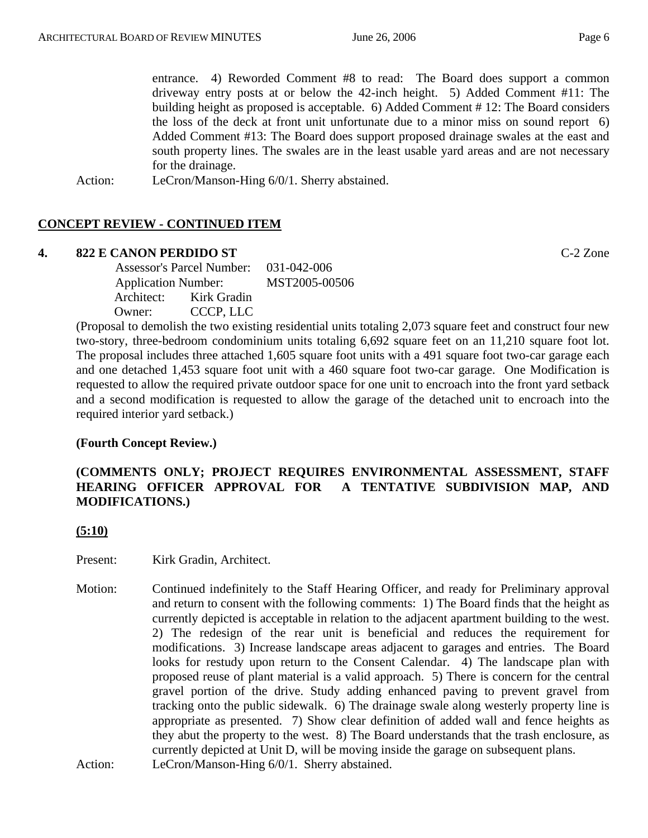entrance. 4) Reworded Comment #8 to read: The Board does support a common driveway entry posts at or below the 42-inch height. 5) Added Comment #11: The building height as proposed is acceptable. 6) Added Comment # 12: The Board considers the loss of the deck at front unit unfortunate due to a minor miss on sound report 6) Added Comment #13: The Board does support proposed drainage swales at the east and south property lines. The swales are in the least usable yard areas and are not necessary for the drainage.

Action: LeCron/Manson-Hing 6/0/1. Sherry abstained.

## **CONCEPT REVIEW - CONTINUED ITEM**

#### **4. 822 E CANON PERDIDO ST** C-2 Zone

 Assessor's Parcel Number: 031-042-006 Application Number: MST2005-00506 Architect: Kirk Gradin Owner: CCCP, LLC

(Proposal to demolish the two existing residential units totaling 2,073 square feet and construct four new two-story, three-bedroom condominium units totaling 6,692 square feet on an 11,210 square foot lot. The proposal includes three attached 1,605 square foot units with a 491 square foot two-car garage each and one detached 1,453 square foot unit with a 460 square foot two-car garage. One Modification is requested to allow the required private outdoor space for one unit to encroach into the front yard setback and a second modification is requested to allow the garage of the detached unit to encroach into the required interior yard setback.)

## **(Fourth Concept Review.)**

## **(COMMENTS ONLY; PROJECT REQUIRES ENVIRONMENTAL ASSESSMENT, STAFF HEARING OFFICER APPROVAL FOR A TENTATIVE SUBDIVISION MAP, AND MODIFICATIONS.)**

**(5:10)**

Present: Kirk Gradin, Architect.

Motion: Continued indefinitely to the Staff Hearing Officer, and ready for Preliminary approval and return to consent with the following comments: 1) The Board finds that the height as currently depicted is acceptable in relation to the adjacent apartment building to the west. 2) The redesign of the rear unit is beneficial and reduces the requirement for modifications. 3) Increase landscape areas adjacent to garages and entries. The Board looks for restudy upon return to the Consent Calendar. 4) The landscape plan with proposed reuse of plant material is a valid approach. 5) There is concern for the central gravel portion of the drive. Study adding enhanced paving to prevent gravel from tracking onto the public sidewalk. 6) The drainage swale along westerly property line is appropriate as presented. 7) Show clear definition of added wall and fence heights as they abut the property to the west. 8) The Board understands that the trash enclosure, as currently depicted at Unit D, will be moving inside the garage on subsequent plans. Action: LeCron/Manson-Hing 6/0/1. Sherry abstained.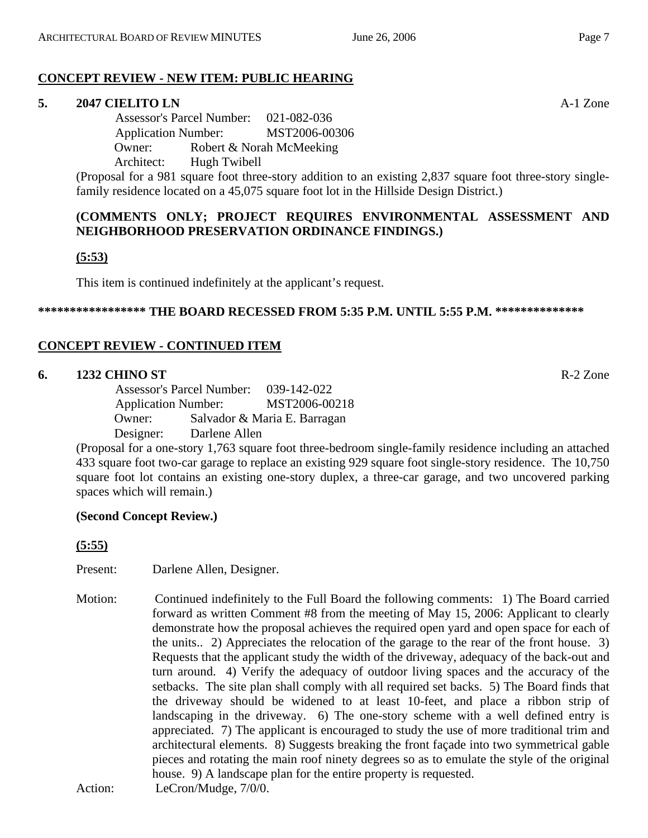# **CONCEPT REVIEW - NEW ITEM: PUBLIC HEARING**

# **5. 2047 CIELITO LN** A-1 Zone

 Assessor's Parcel Number: 021-082-036 Application Number: MST2006-00306 Owner: Robert & Norah McMeeking Architect: Hugh Twibell

(Proposal for a 981 square foot three-story addition to an existing 2,837 square foot three-story singlefamily residence located on a 45,075 square foot lot in the Hillside Design District.)

# **(COMMENTS ONLY; PROJECT REQUIRES ENVIRONMENTAL ASSESSMENT AND NEIGHBORHOOD PRESERVATION ORDINANCE FINDINGS.)**

# **(5:53)**

This item is continued indefinitely at the applicant's request.

# **\*\*\*\*\*\*\*\*\*\*\*\*\*\*\*\*\* THE BOARD RECESSED FROM 5:35 P.M. UNTIL 5:55 P.M. \*\*\*\*\*\*\*\*\*\*\*\*\*\***

# **CONCEPT REVIEW - CONTINUED ITEM**

# **6. 1232 CHINO ST** R-2 Zone

 Assessor's Parcel Number: 039-142-022 Application Number: MST2006-00218 Owner: Salvador & Maria E. Barragan Designer: Darlene Allen

(Proposal for a one-story 1,763 square foot three-bedroom single-family residence including an attached 433 square foot two-car garage to replace an existing 929 square foot single-story residence. The 10,750 square foot lot contains an existing one-story duplex, a three-car garage, and two uncovered parking spaces which will remain.)

# **(Second Concept Review.)**

**(5:55)**

Present: Darlene Allen, Designer.

Motion: Continued indefinitely to the Full Board the following comments: 1) The Board carried forward as written Comment #8 from the meeting of May 15, 2006: Applicant to clearly demonstrate how the proposal achieves the required open yard and open space for each of the units.. 2) Appreciates the relocation of the garage to the rear of the front house. 3) Requests that the applicant study the width of the driveway, adequacy of the back-out and turn around. 4) Verify the adequacy of outdoor living spaces and the accuracy of the setbacks. The site plan shall comply with all required set backs. 5) The Board finds that the driveway should be widened to at least 10-feet, and place a ribbon strip of landscaping in the driveway. 6) The one-story scheme with a well defined entry is appreciated. 7) The applicant is encouraged to study the use of more traditional trim and architectural elements. 8) Suggests breaking the front façade into two symmetrical gable pieces and rotating the main roof ninety degrees so as to emulate the style of the original house. 9) A landscape plan for the entire property is requested. Action:LeCron/Mudge, 7/0/0.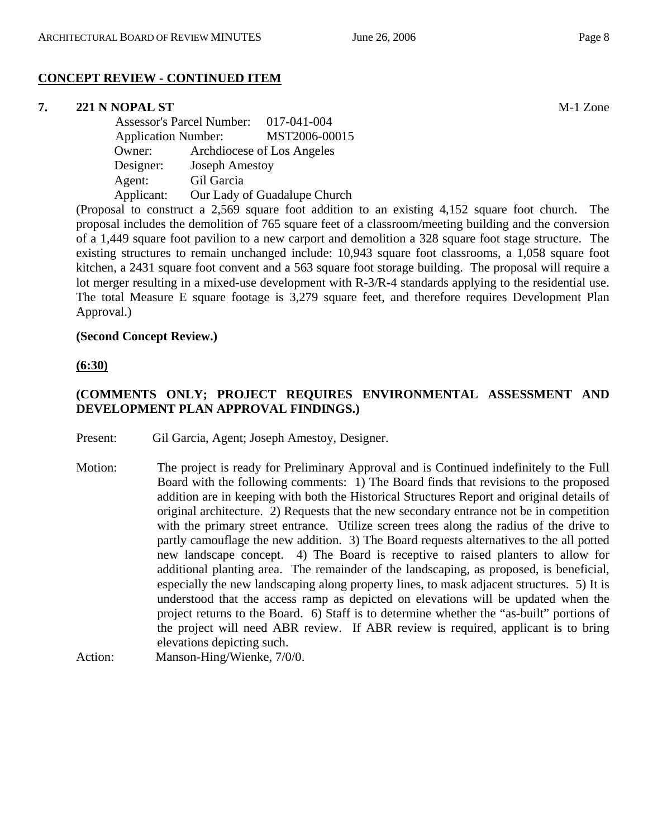# **CONCEPT REVIEW - CONTINUED ITEM**

# **7. 221 N NOPAL ST** M-1 Zone

 Assessor's Parcel Number: 017-041-004 Application Number: MST2006-00015 Owner: Archdiocese of Los Angeles Designer: Joseph Amestoy Agent: Gil Garcia Applicant: Our Lady of Guadalupe Church

(Proposal to construct a 2,569 square foot addition to an existing 4,152 square foot church. The proposal includes the demolition of 765 square feet of a classroom/meeting building and the conversion of a 1,449 square foot pavilion to a new carport and demolition a 328 square foot stage structure. The existing structures to remain unchanged include: 10,943 square foot classrooms, a 1,058 square foot kitchen, a 2431 square foot convent and a 563 square foot storage building. The proposal will require a lot merger resulting in a mixed-use development with R-3/R-4 standards applying to the residential use. The total Measure E square footage is 3,279 square feet, and therefore requires Development Plan Approval.)

#### **(Second Concept Review.)**

**(6:30)**

## **(COMMENTS ONLY; PROJECT REQUIRES ENVIRONMENTAL ASSESSMENT AND DEVELOPMENT PLAN APPROVAL FINDINGS.)**

Present: Gil Garcia, Agent; Joseph Amestoy, Designer.

Motion: The project is ready for Preliminary Approval and is Continued indefinitely to the Full Board with the following comments: 1) The Board finds that revisions to the proposed addition are in keeping with both the Historical Structures Report and original details of original architecture. 2) Requests that the new secondary entrance not be in competition with the primary street entrance. Utilize screen trees along the radius of the drive to partly camouflage the new addition. 3) The Board requests alternatives to the all potted new landscape concept. 4) The Board is receptive to raised planters to allow for additional planting area. The remainder of the landscaping, as proposed, is beneficial, especially the new landscaping along property lines, to mask adjacent structures. 5) It is understood that the access ramp as depicted on elevations will be updated when the project returns to the Board. 6) Staff is to determine whether the "as-built" portions of the project will need ABR review. If ABR review is required, applicant is to bring elevations depicting such. Action: Manson-Hing/Wienke, 7/0/0.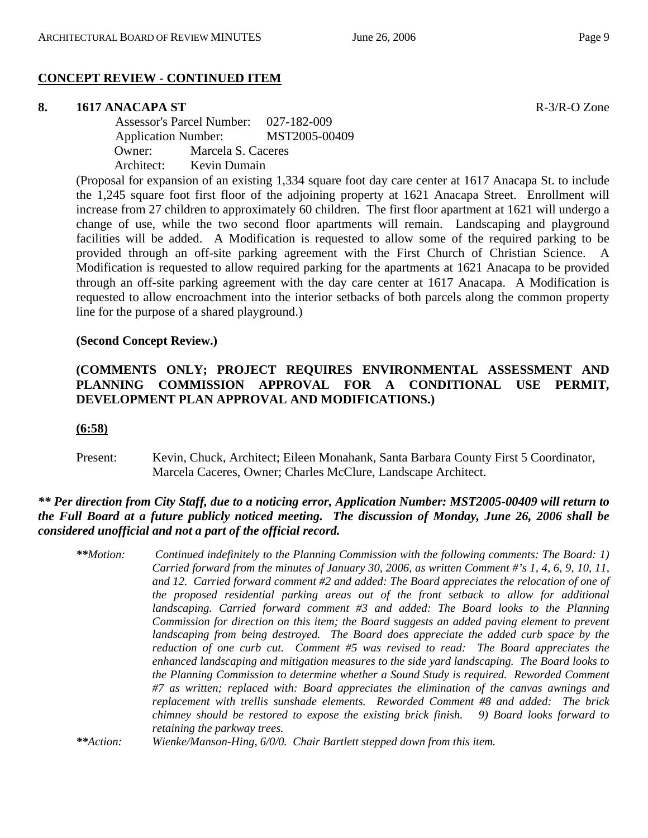## **CONCEPT REVIEW - CONTINUED ITEM**

#### **8. 1617 ANACAPA ST** R-3/R-O Zone

 Assessor's Parcel Number: 027-182-009 Application Number: MST2005-00409 Owner: Marcela S. Caceres Architect: Kevin Dumain

(Proposal for expansion of an existing 1,334 square foot day care center at 1617 Anacapa St. to include the 1,245 square foot first floor of the adjoining property at 1621 Anacapa Street. Enrollment will increase from 27 children to approximately 60 children. The first floor apartment at 1621 will undergo a change of use, while the two second floor apartments will remain. Landscaping and playground facilities will be added. A Modification is requested to allow some of the required parking to be provided through an off-site parking agreement with the First Church of Christian Science. A Modification is requested to allow required parking for the apartments at 1621 Anacapa to be provided through an off-site parking agreement with the day care center at 1617 Anacapa. A Modification is requested to allow encroachment into the interior setbacks of both parcels along the common property line for the purpose of a shared playground.)

#### **(Second Concept Review.)**

## **(COMMENTS ONLY; PROJECT REQUIRES ENVIRONMENTAL ASSESSMENT AND PLANNING COMMISSION APPROVAL FOR A CONDITIONAL USE PERMIT, DEVELOPMENT PLAN APPROVAL AND MODIFICATIONS.)**

#### **(6:58)**

Present: Kevin, Chuck, Architect; Eileen Monahank, Santa Barbara County First 5 Coordinator, Marcela Caceres, Owner; Charles McClure, Landscape Architect.

## *\*\* Per direction from City Staff, due to a noticing error, Application Number: MST2005-00409 will return to the Full Board at a future publicly noticed meeting. The discussion of Monday, June 26, 2006 shall be considered unofficial and not a part of the official record.*

*\*\*Motion: Continued indefinitely to the Planning Commission with the following comments: The Board: 1) Carried forward from the minutes of January 30, 2006, as written Comment #'s 1, 4, 6, 9, 10, 11, and 12. Carried forward comment #2 and added: The Board appreciates the relocation of one of the proposed residential parking areas out of the front setback to allow for additional landscaping. Carried forward comment #3 and added: The Board looks to the Planning Commission for direction on this item; the Board suggests an added paving element to prevent landscaping from being destroyed. The Board does appreciate the added curb space by the reduction of one curb cut. Comment #5 was revised to read: The Board appreciates the enhanced landscaping and mitigation measures to the side yard landscaping. The Board looks to the Planning Commission to determine whether a Sound Study is required. Reworded Comment #7 as written; replaced with: Board appreciates the elimination of the canvas awnings and replacement with trellis sunshade elements. Reworded Comment #8 and added: The brick chimney should be restored to expose the existing brick finish. 9) Board looks forward to retaining the parkway trees.* 

*\*\*Action: Wienke/Manson-Hing, 6/0/0. Chair Bartlett stepped down from this item.*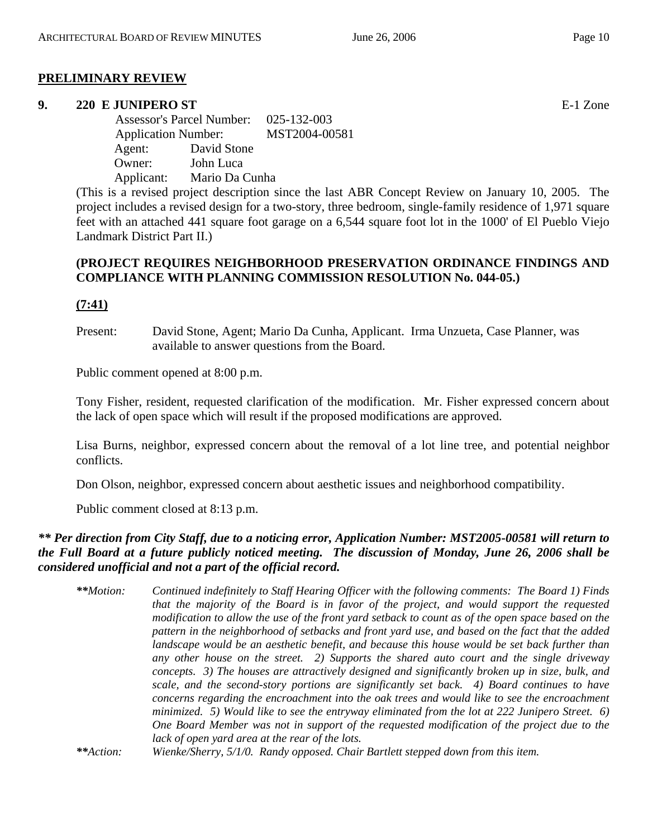## **PRELIMINARY REVIEW**

#### **9. 220 E JUNIPERO ST** E-1 Zone

 Assessor's Parcel Number: 025-132-003 Application Number: MST2004-00581 Agent: David Stone Owner: John Luca Applicant: Mario Da Cunha

(This is a revised project description since the last ABR Concept Review on January 10, 2005. The project includes a revised design for a two-story, three bedroom, single-family residence of 1,971 square feet with an attached 441 square foot garage on a 6,544 square foot lot in the 1000' of El Pueblo Viejo Landmark District Part II.)

## **(PROJECT REQUIRES NEIGHBORHOOD PRESERVATION ORDINANCE FINDINGS AND COMPLIANCE WITH PLANNING COMMISSION RESOLUTION No. 044-05.)**

## **(7:41)**

Present: David Stone, Agent; Mario Da Cunha, Applicant. Irma Unzueta, Case Planner, was available to answer questions from the Board.

Public comment opened at 8:00 p.m.

Tony Fisher, resident, requested clarification of the modification. Mr. Fisher expressed concern about the lack of open space which will result if the proposed modifications are approved.

Lisa Burns, neighbor, expressed concern about the removal of a lot line tree, and potential neighbor conflicts.

Don Olson, neighbor, expressed concern about aesthetic issues and neighborhood compatibility.

Public comment closed at 8:13 p.m.

## *\*\* Per direction from City Staff, due to a noticing error, Application Number: MST2005-00581 will return to the Full Board at a future publicly noticed meeting. The discussion of Monday, June 26, 2006 shall be considered unofficial and not a part of the official record.*

*\*\*Motion: Continued indefinitely to Staff Hearing Officer with the following comments: The Board 1) Finds that the majority of the Board is in favor of the project, and would support the requested modification to allow the use of the front yard setback to count as of the open space based on the pattern in the neighborhood of setbacks and front yard use, and based on the fact that the added landscape would be an aesthetic benefit, and because this house would be set back further than any other house on the street. 2) Supports the shared auto court and the single driveway concepts. 3) The houses are attractively designed and significantly broken up in size, bulk, and scale, and the second-story portions are significantly set back. 4) Board continues to have concerns regarding the encroachment into the oak trees and would like to see the encroachment minimized. 5) Would like to see the entryway eliminated from the lot at 222 Junipero Street. 6) One Board Member was not in support of the requested modification of the project due to the lack of open yard area at the rear of the lots.* 

*\*\*Action: Wienke/Sherry, 5/1/0. Randy opposed. Chair Bartlett stepped down from this item.*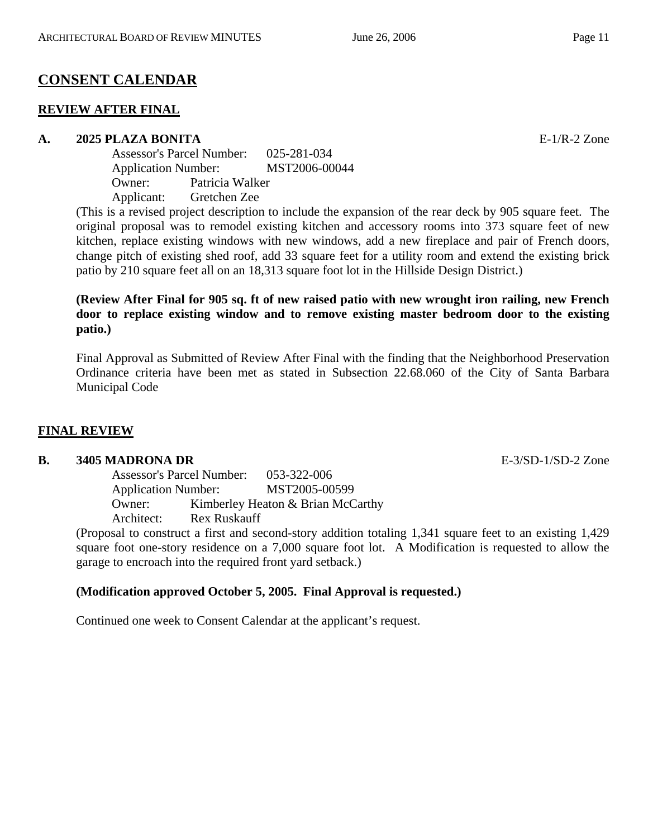# **CONSENT CALENDAR**

## **REVIEW AFTER FINAL**

#### **A. 2025 PLAZA BONITA** E-1/R-2 Zone

Assessor's Parcel Number: 025-281-034 Application Number: MST2006-00044 Owner: Patricia Walker Applicant: Gretchen Zee

(This is a revised project description to include the expansion of the rear deck by 905 square feet. The original proposal was to remodel existing kitchen and accessory rooms into 373 square feet of new kitchen, replace existing windows with new windows, add a new fireplace and pair of French doors, change pitch of existing shed roof, add 33 square feet for a utility room and extend the existing brick patio by 210 square feet all on an 18,313 square foot lot in the Hillside Design District.)

## **(Review After Final for 905 sq. ft of new raised patio with new wrought iron railing, new French door to replace existing window and to remove existing master bedroom door to the existing patio.)**

 Final Approval as Submitted of Review After Final with the finding that the Neighborhood Preservation Ordinance criteria have been met as stated in Subsection 22.68.060 of the City of Santa Barbara Municipal Code

## **FINAL REVIEW**

## **B. 3405 MADRONA DR** E-3/SD-1/SD-2 Zone

Assessor's Parcel Number: 053-322-006 Application Number: MST2005-00599 Owner: Kimberley Heaton & Brian McCarthy Architect: Rex Ruskauff

(Proposal to construct a first and second-story addition totaling 1,341 square feet to an existing 1,429 square foot one-story residence on a 7,000 square foot lot. A Modification is requested to allow the garage to encroach into the required front yard setback.)

## **(Modification approved October 5, 2005. Final Approval is requested.)**

Continued one week to Consent Calendar at the applicant's request.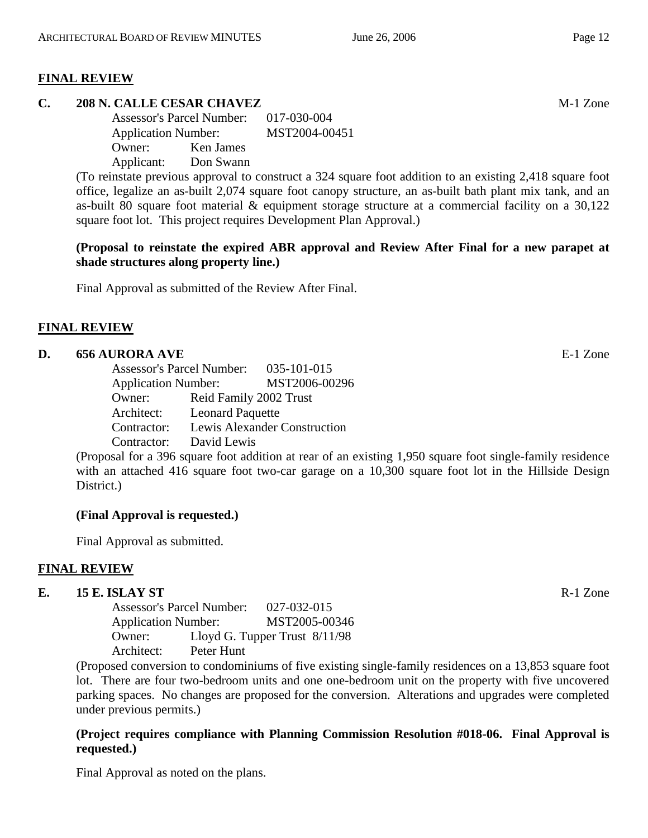## **FINAL REVIEW**

## **C. 208 N. CALLE CESAR CHAVEZ** M-1 Zone

Assessor's Parcel Number: 017-030-004 Application Number: MST2004-00451 Owner: Ken James Applicant: Don Swann

(To reinstate previous approval to construct a 324 square foot addition to an existing 2,418 square foot office, legalize an as-built 2,074 square foot canopy structure, an as-built bath plant mix tank, and an as-built 80 square foot material & equipment storage structure at a commercial facility on a 30,122 square foot lot. This project requires Development Plan Approval.)

## **(Proposal to reinstate the expired ABR approval and Review After Final for a new parapet at shade structures along property line.)**

Final Approval as submitted of the Review After Final.

## **FINAL REVIEW**

## **D. 656 AURORA AVE** E-1 Zone

Assessor's Parcel Number: 035-101-015 Application Number: MST2006-00296 Owner: Reid Family 2002 Trust Architect: Leonard Paquette Contractor: Lewis Alexander Construction Contractor: David Lewis

(Proposal for a 396 square foot addition at rear of an existing 1,950 square foot single-family residence with an attached 416 square foot two-car garage on a 10,300 square foot lot in the Hillside Design District.)

## **(Final Approval is requested.)**

Final Approval as submitted.

## **FINAL REVIEW**

## **E. 15 E. ISLAY ST** R-1 Zone

Assessor's Parcel Number: 027-032-015 Application Number: MST2005-00346 Owner: Lloyd G. Tupper Trust 8/11/98 Architect: Peter Hunt

(Proposed conversion to condominiums of five existing single-family residences on a 13,853 square foot lot. There are four two-bedroom units and one one-bedroom unit on the property with five uncovered parking spaces. No changes are proposed for the conversion. Alterations and upgrades were completed under previous permits.)

## **(Project requires compliance with Planning Commission Resolution #018-06. Final Approval is requested.)**

Final Approval as noted on the plans.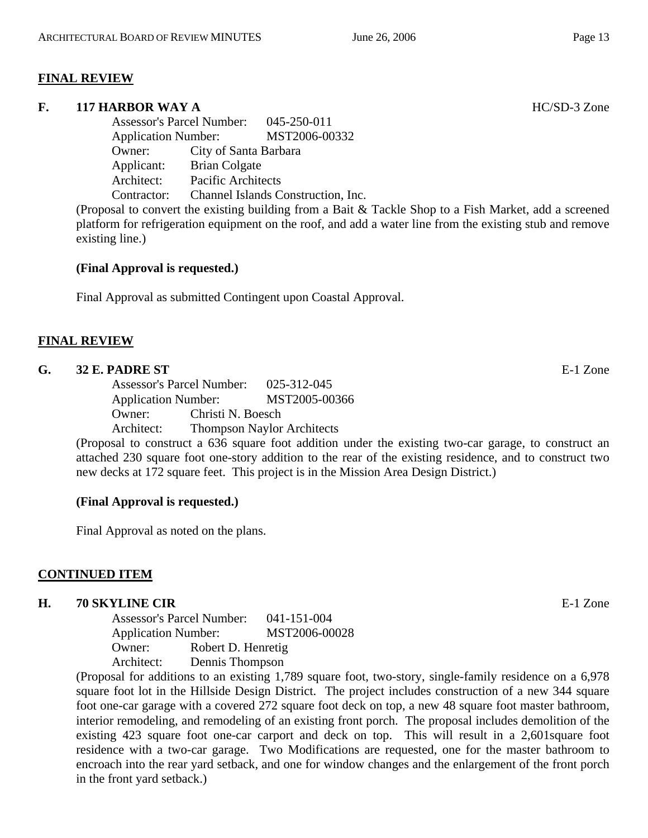## **FINAL REVIEW**

## **F. 117 HARBOR WAY A** HC/SD-3 Zone

Assessor's Parcel Number: 045-250-011 Application Number: MST2006-00332 Owner: City of Santa Barbara Applicant: Brian Colgate Architect: Pacific Architects Contractor: Channel Islands Construction, Inc.

(Proposal to convert the existing building from a Bait & Tackle Shop to a Fish Market, add a screened platform for refrigeration equipment on the roof, and add a water line from the existing stub and remove existing line.)

## **(Final Approval is requested.)**

Final Approval as submitted Contingent upon Coastal Approval.

## **FINAL REVIEW**

#### **G. 32 E. PADRE ST** E-1 Zone

Assessor's Parcel Number: 025-312-045 Application Number: MST2005-00366 Owner: Christi N. Boesch Architect: Thompson Naylor Architects

(Proposal to construct a 636 square foot addition under the existing two-car garage, to construct an attached 230 square foot one-story addition to the rear of the existing residence, and to construct two new decks at 172 square feet. This project is in the Mission Area Design District.)

## **(Final Approval is requested.)**

Final Approval as noted on the plans.

## **CONTINUED ITEM**

#### **H. 70 SKYLINE CIR E-1** Zone

Assessor's Parcel Number: 041-151-004 Application Number: MST2006-00028 Owner: Robert D. Henretig Architect: Dennis Thompson

(Proposal for additions to an existing 1,789 square foot, two-story, single-family residence on a 6,978 square foot lot in the Hillside Design District. The project includes construction of a new 344 square foot one-car garage with a covered 272 square foot deck on top, a new 48 square foot master bathroom, interior remodeling, and remodeling of an existing front porch. The proposal includes demolition of the existing 423 square foot one-car carport and deck on top. This will result in a 2,601square foot residence with a two-car garage. Two Modifications are requested, one for the master bathroom to encroach into the rear yard setback, and one for window changes and the enlargement of the front porch in the front yard setback.)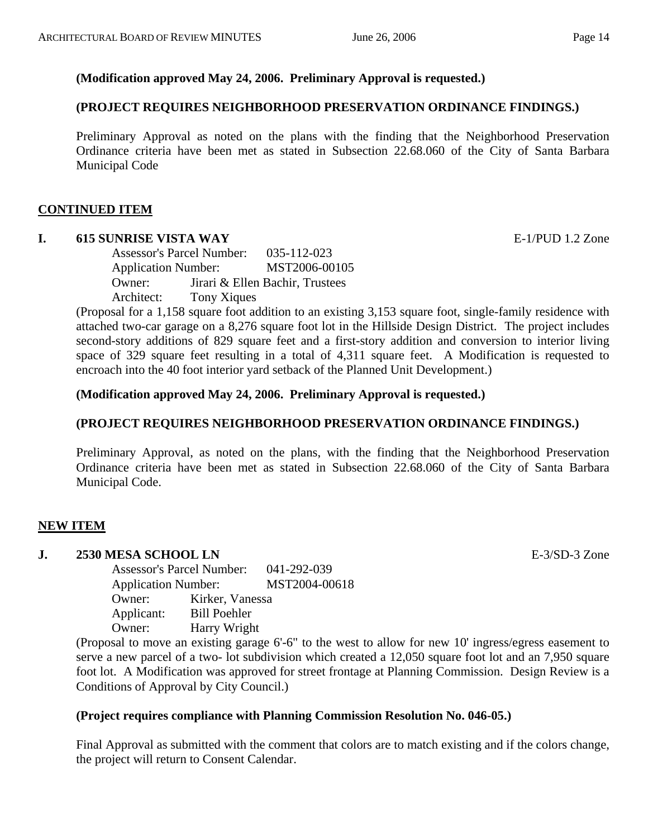## **(Modification approved May 24, 2006. Preliminary Approval is requested.)**

## **(PROJECT REQUIRES NEIGHBORHOOD PRESERVATION ORDINANCE FINDINGS.)**

 Preliminary Approval as noted on the plans with the finding that the Neighborhood Preservation Ordinance criteria have been met as stated in Subsection 22.68.060 of the City of Santa Barbara Municipal Code

## **CONTINUED ITEM**

## **I. 615 SUNRISE VISTA WAY** E-1/PUD 1.2 Zone

Assessor's Parcel Number: 035-112-023 Application Number: MST2006-00105 Owner: Jirari & Ellen Bachir, Trustees Architect: Tony Xiques

(Proposal for a 1,158 square foot addition to an existing 3,153 square foot, single-family residence with attached two-car garage on a 8,276 square foot lot in the Hillside Design District. The project includes second-story additions of 829 square feet and a first-story addition and conversion to interior living space of 329 square feet resulting in a total of 4,311 square feet. A Modification is requested to encroach into the 40 foot interior yard setback of the Planned Unit Development.)

## **(Modification approved May 24, 2006. Preliminary Approval is requested.)**

## **(PROJECT REQUIRES NEIGHBORHOOD PRESERVATION ORDINANCE FINDINGS.)**

Preliminary Approval, as noted on the plans, with the finding that the Neighborhood Preservation Ordinance criteria have been met as stated in Subsection 22.68.060 of the City of Santa Barbara Municipal Code.

## **NEW ITEM**

## **J. 2530 MESA SCHOOL LN** E-3/SD-3 Zone

Assessor's Parcel Number: 041-292-039 Application Number: MST2004-00618 Owner: Kirker, Vanessa Applicant: Bill Poehler Owner: Harry Wright

(Proposal to move an existing garage 6'-6" to the west to allow for new 10' ingress/egress easement to serve a new parcel of a two- lot subdivision which created a 12,050 square foot lot and an 7,950 square foot lot. A Modification was approved for street frontage at Planning Commission. Design Review is a Conditions of Approval by City Council.)

#### **(Project requires compliance with Planning Commission Resolution No. 046-05.)**

Final Approval as submitted with the comment that colors are to match existing and if the colors change, the project will return to Consent Calendar.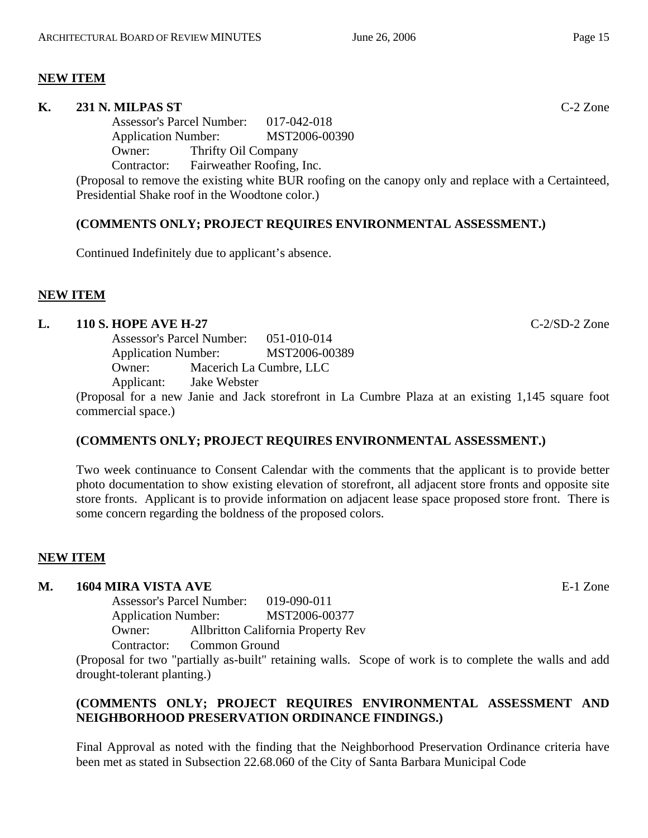## **NEW ITEM**

#### **K. 231 N. MILPAS ST** C-2 Zone

Assessor's Parcel Number: 017-042-018 Application Number: MST2006-00390 Owner: Thrifty Oil Company Contractor: Fairweather Roofing, Inc.

(Proposal to remove the existing white BUR roofing on the canopy only and replace with a Certainteed, Presidential Shake roof in the Woodtone color.)

## **(COMMENTS ONLY; PROJECT REQUIRES ENVIRONMENTAL ASSESSMENT.)**

Continued Indefinitely due to applicant's absence.

## **NEW ITEM**

## **L. 110 S. HOPE AVE H-27** C-2/SD-2 Zone

Assessor's Parcel Number: 051-010-014 Application Number: MST2006-00389 Owner: Macerich La Cumbre, LLC Applicant: Jake Webster

(Proposal for a new Janie and Jack storefront in La Cumbre Plaza at an existing 1,145 square foot commercial space.)

## **(COMMENTS ONLY; PROJECT REQUIRES ENVIRONMENTAL ASSESSMENT.)**

Two week continuance to Consent Calendar with the comments that the applicant is to provide better photo documentation to show existing elevation of storefront, all adjacent store fronts and opposite site store fronts. Applicant is to provide information on adjacent lease space proposed store front. There is some concern regarding the boldness of the proposed colors.

## **NEW ITEM**

#### **M. 1604 MIRA VISTA AVE** E-1 Zone

Assessor's Parcel Number: 019-090-011 Application Number: MST2006-00377 Owner: Allbritton California Property Rev

Contractor: Common Ground

(Proposal for two "partially as-built" retaining walls. Scope of work is to complete the walls and add drought-tolerant planting.)

## **(COMMENTS ONLY; PROJECT REQUIRES ENVIRONMENTAL ASSESSMENT AND NEIGHBORHOOD PRESERVATION ORDINANCE FINDINGS.)**

Final Approval as noted with the finding that the Neighborhood Preservation Ordinance criteria have been met as stated in Subsection 22.68.060 of the City of Santa Barbara Municipal Code